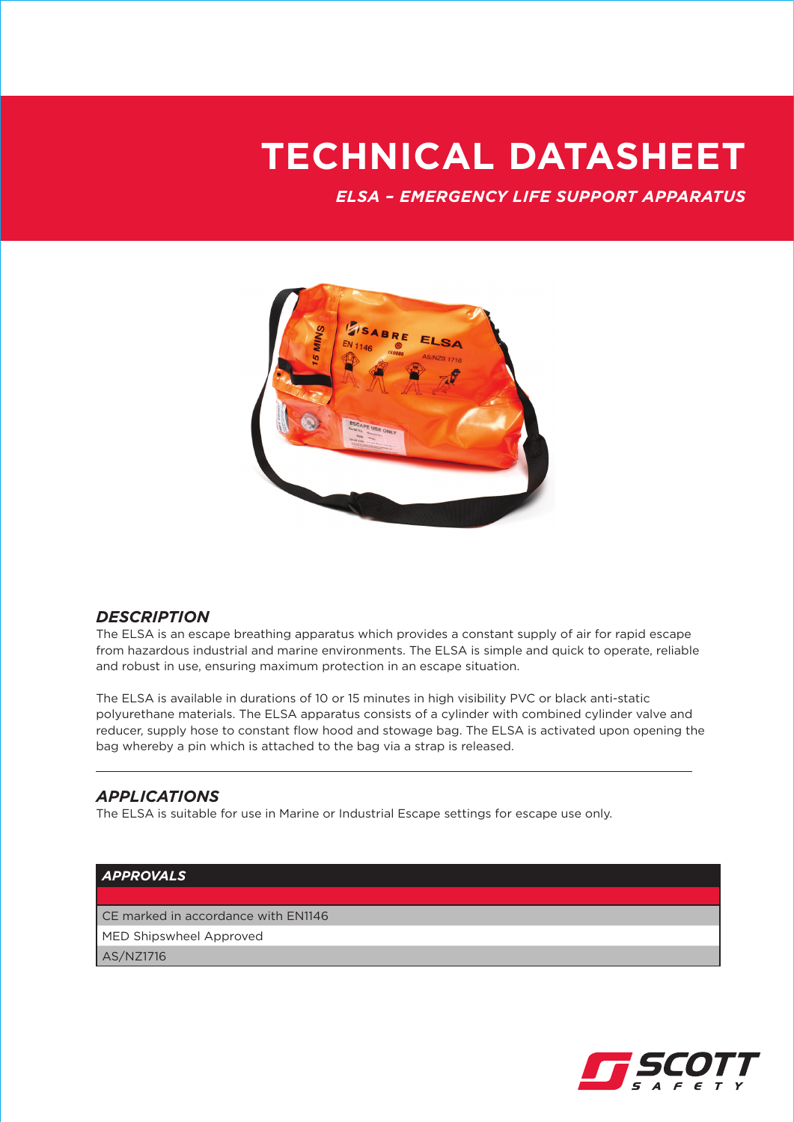# **TECHNICAL DATASHEET**

*ELSA – EMERGENCY LIFE SUPPORT APPARATUS*



### *DESCRIPTION*

The ELSA is an escape breathing apparatus which provides a constant supply of air for rapid escape from hazardous industrial and marine environments. The ELSA is simple and quick to operate, reliable and robust in use, ensuring maximum protection in an escape situation.

The ELSA is available in durations of 10 or 15 minutes in high visibility PVC or black anti-static polyurethane materials. The ELSA apparatus consists of a cylinder with combined cylinder valve and reducer, supply hose to constant flow hood and stowage bag. The ELSA is activated upon opening the bag whereby a pin which is attached to the bag via a strap is released.

#### *APPLICATIONS*

The ELSA is suitable for use in Marine or Industrial Escape settings for escape use only.

#### *APPROVALS*

CE marked in accordance with EN1146

MED Shipswheel Approved

AS/NZ1716

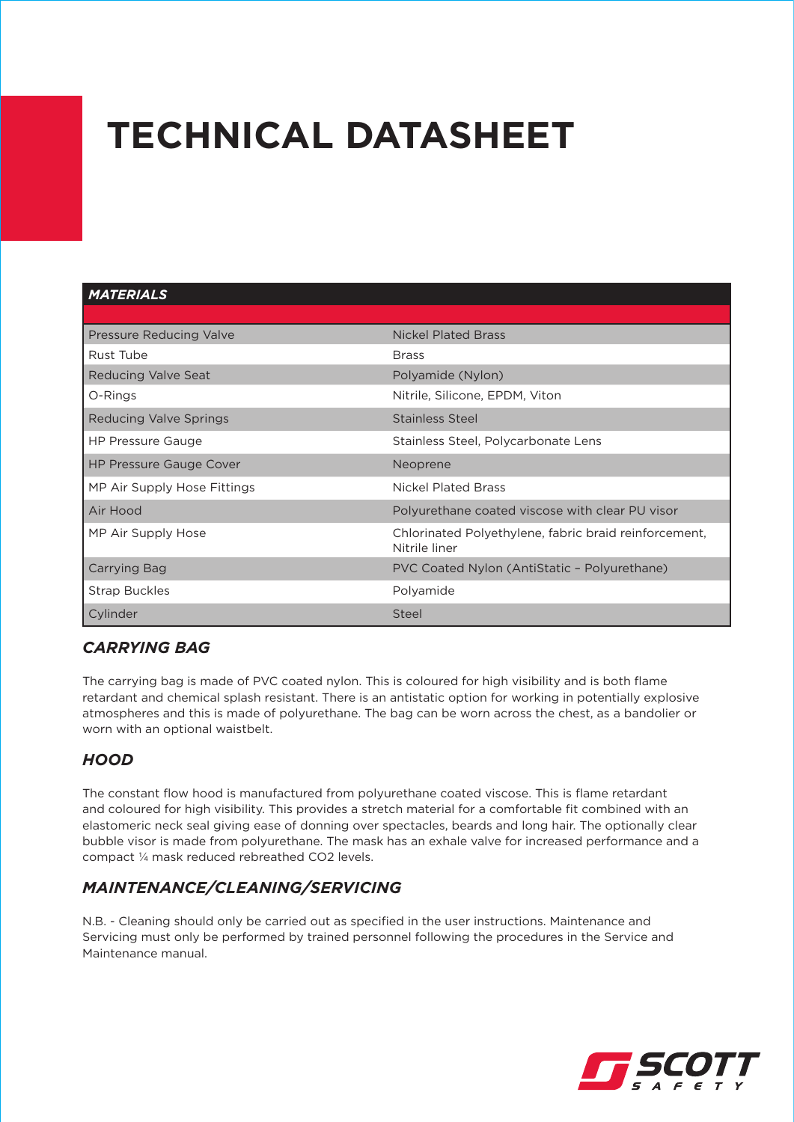# **TECHNICAL DATASHEET**

#### *MATERIALS*

| Pressure Reducing Valve        | <b>Nickel Plated Brass</b>                                             |
|--------------------------------|------------------------------------------------------------------------|
| Rust Tube                      | <b>Brass</b>                                                           |
| Reducing Valve Seat            | Polyamide (Nylon)                                                      |
| O-Rings                        | Nitrile, Silicone, EPDM, Viton                                         |
| Reducing Valve Springs         | Stainless Steel                                                        |
| <b>HP Pressure Gauge</b>       | Stainless Steel, Polycarbonate Lens                                    |
| <b>HP Pressure Gauge Cover</b> | Neoprene                                                               |
| MP Air Supply Hose Fittings    | <b>Nickel Plated Brass</b>                                             |
| Air Hood                       | Polyurethane coated viscose with clear PU visor                        |
| MP Air Supply Hose             | Chlorinated Polyethylene, fabric braid reinforcement,<br>Nitrile liner |
| Carrying Bag                   | PVC Coated Nylon (AntiStatic - Polyurethane)                           |
| <b>Strap Buckles</b>           | Polyamide                                                              |
| Cylinder                       | Steel                                                                  |

### *Carrying Bag*

The carrying bag is made of PVC coated nylon. This is coloured for high visibility and is both flame retardant and chemical splash resistant. There is an antistatic option for working in potentially explosive atmospheres and this is made of polyurethane. The bag can be worn across the chest, as a bandolier or worn with an optional waistbelt.

# *hood*

The constant flow hood is manufactured from polyurethane coated viscose. This is flame retardant and coloured for high visibility. This provides a stretch material for a comfortable fit combined with an elastomeric neck seal giving ease of donning over spectacles, beards and long hair. The optionally clear bubble visor is made from polyurethane. The mask has an exhale valve for increased performance and a compact ¼ mask reduced rebreathed CO2 levels.

# *MAINTENANCE/CLEANING/SERVICING*

N.B. - Cleaning should only be carried out as specified in the user instructions. Maintenance and Servicing must only be performed by trained personnel following the procedures in the Service and Maintenance manual.